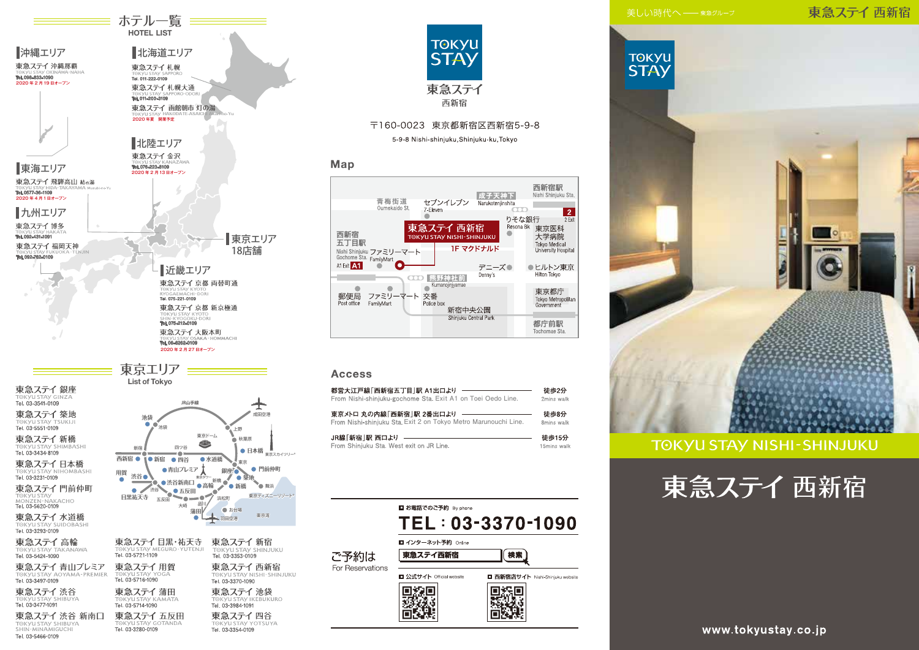# 東急ステイ 西新宿





# 〒160-0023 東京都新宿区西新宿5-9-8

5-9-8 Nishi-shinjuku, Shinjuku-ku, Tokyo

# Map



# **Access**

| 都営大江戸線「西新宿五丁目 駅 A1出口より                                          | 徒歩2分        |
|-----------------------------------------------------------------|-------------|
| From Nishi-shiniuku-gochome Sta, Exit A1 on Toei Oedo Line.     | 2mins walk  |
| 東京メトロ 丸の内線「西新宿」駅 2番出口より                                         | 徒歩8分        |
| From Nishi-shinjuku Sta. Exit 2 on Tokyo Metro Marunouchi Line. | 8mins walk  |
| JR線「新宿  駅 西口より                                                  | 徒歩15分       |
| From Shinjuku Sta. West exit on JR Line.                        | 15mins wall |





# **TOKYU STAY NISHI-SHINJUKU**



www.tokyustay.co.jp